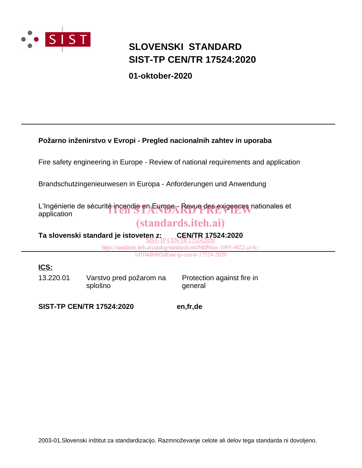

### **SLOVENSKI STANDARD SIST-TP CEN/TR 17524:2020**

**01-oktober-2020**

#### **Požarno inženirstvo v Evropi - Pregled nacionalnih zahtev in uporaba**

Fire safety engineering in Europe - Review of national requirements and application

Brandschutzingenieurwesen in Europa - Anforderungen und Anwendung

L'Ingénierie de sécurité incendie en Europe - Revue des exigences nationales et<br>application application

### (standards.iteh.ai)

**Ta slovenski standard je istoveten z:** CEN/TR 17524:2020

> https://standards.iteh.ai/catalog/standards/sist/bfdf9dee-1093-4022-a14c-1d104db865df/sist-tp-cen-tr-17524-2020

#### **ICS:**

13.220.01 Varstvo pred požarom na splošno

Protection against fire in general

**SIST-TP CEN/TR 17524:2020 en,fr,de**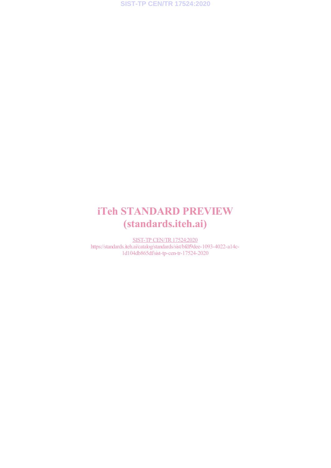## iTeh STANDARD PREVIEW (standards.iteh.ai)

SIST-TP CEN/TR17524:2020 https://standards.iteh.ai/catalog/standards/sist/bfdf9dee-1093-4022-a14c-1d104db865df/sist-tp-cen-tr-17524-2020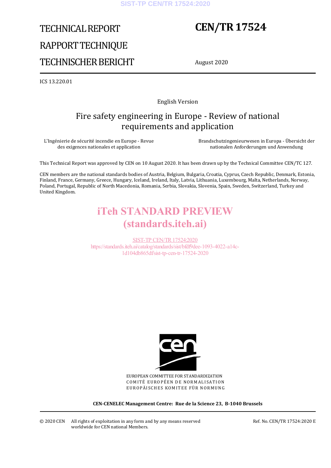# TECHNICAL REPORT RAPPORT TECHNIQUE TECHNISCHER BERICHT

## **CEN/TR 17524**

August 2020

ICS 13.220.01

English Version

### Fire safety engineering in Europe - Review of national requirements and application

L'Ingénierie de sécurité incendie en Europe - Revue des exigences nationales et application

 Brandschutzingenieurwesen in Europa - Übersicht der nationalen Anforderungen und Anwendung

This Technical Report was approved by CEN on 10 August 2020. It has been drawn up by the Technical Committee CEN/TC 127.

CEN members are the national standards bodies of Austria, Belgium, Bulgaria, Croatia, Cyprus, Czech Republic, Denmark, Estonia, Finland, France, Germany, Greece, Hungary, Iceland, Ireland, Italy, Latvia, Lithuania, Luxembourg, Malta, Netherlands, Norway, Poland, Portugal, Republic of North Macedonia, Romania, Serbia, Slovakia, Slovenia, Spain, Sweden, Switzerland, Turkey and United Kingdom.

### iTeh STANDARD PREVIEW (standards.iteh.ai)

SIST-TP CEN/TR17524:2020 https://standards.iteh.ai/catalog/standards/sist/bfdf9dee-1093-4022-a14c-1d104db865df/sist-tp-cen-tr-17524-2020



EUROPEAN COMMITTEE FOR STANDARDIZATION COMITÉ EUROPÉEN DE NORMALISATION EUROPÄISCHES KOMITEE FÜR NORMUNG

**CEN-CENELEC Management Centre: Rue de la Science 23, B-1040 Brussels** 

© 2020 CEN All rights of exploitation in any form and by any means reserved worldwide for CEN national Members.

Ref. No. CEN/TR 17524:2020 E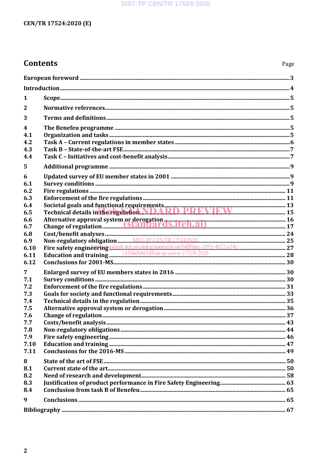#### **SIST-TP CEN/TR 17524:2020**

#### CEN/TR 17524:2020 (E)

### **Contents**

| 1                       |                                                                                     |  |
|-------------------------|-------------------------------------------------------------------------------------|--|
| $\overline{2}$          |                                                                                     |  |
| 3                       |                                                                                     |  |
| $\overline{\mathbf{4}}$ |                                                                                     |  |
| 4.1                     |                                                                                     |  |
| 4.2                     |                                                                                     |  |
| 4.3<br>4.4              |                                                                                     |  |
| 5                       |                                                                                     |  |
|                         |                                                                                     |  |
| 6<br>6.1                |                                                                                     |  |
| 6.2                     |                                                                                     |  |
| 6.3                     |                                                                                     |  |
| 6.4                     |                                                                                     |  |
| 6.5                     |                                                                                     |  |
| 6.6                     |                                                                                     |  |
| 6.7<br>6.8              |                                                                                     |  |
| 6.9                     |                                                                                     |  |
| 6.10                    | Fire safety engineering material ai/catalog/standards/sist/bfdf9dee-1093-4022-a14c- |  |
| 6.11                    |                                                                                     |  |
| 6.12                    |                                                                                     |  |
| 7                       |                                                                                     |  |
| 7.1                     |                                                                                     |  |
| 7.2                     |                                                                                     |  |
| 7.3<br>7.4              |                                                                                     |  |
| 7.5                     |                                                                                     |  |
| 7.6                     |                                                                                     |  |
| 7.7                     |                                                                                     |  |
| 7.8                     |                                                                                     |  |
| 7.9<br>7.10             |                                                                                     |  |
| 7.11                    |                                                                                     |  |
|                         |                                                                                     |  |
| 8<br>8.1                |                                                                                     |  |
| 8.2                     |                                                                                     |  |
| 8.3                     |                                                                                     |  |
| 8.4                     |                                                                                     |  |
| 9                       |                                                                                     |  |
|                         |                                                                                     |  |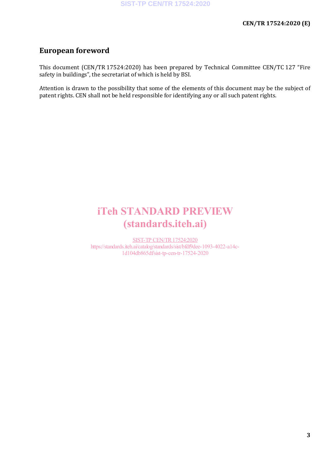### **European foreword**

This document (CEN/TR 17524:2020) has been prepared by Technical Committee CEN/TC 127 "Fire safety in buildings", the secretariat of which is held by BSI.

Attention is drawn to the possibility that some of the elements of this document may be the subject of patent rights. CEN shall not be held responsible for identifying any or all such patent rights.

## iTeh STANDARD PREVIEW (standards.iteh.ai)

SIST-TP CEN/TR17524:2020 https://standards.iteh.ai/catalog/standards/sist/bfdf9dee-1093-4022-a14c-1d104db865df/sist-tp-cen-tr-17524-2020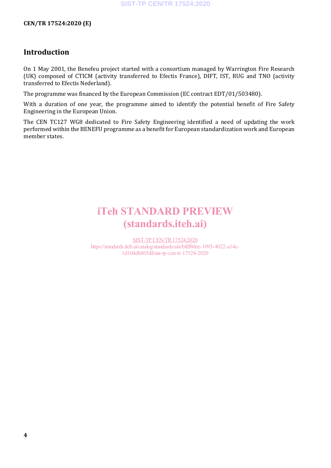#### **CEN/TR 17524:2020 (E)**

#### **Introduction**

On 1 May 2001, the Benefeu project started with a consortium managed by Warrington Fire Research (UK) composed of CTICM (activity transferred to Efectis France), DIFT, IST, RUG and TNO (activity transferred to Efectis Nederland).

The programme was financed by the European Commission (EC contract EDT/01/503480).

With a duration of one year, the programme aimed to identify the potential benefit of Fire Safety Engineering in the European Union.

The CEN TC127 WG8 dedicated to Fire Safety Engineering identified a need of updating the work performed within the BENEFU programme as a benefit for European standardization work and European member states.

## iTeh STANDARD PREVIEW (standards.iteh.ai)

SIST-TP CEN/TR17524:2020 https://standards.iteh.ai/catalog/standards/sist/bfdf9dee-1093-4022-a14c-1d104db865df/sist-tp-cen-tr-17524-2020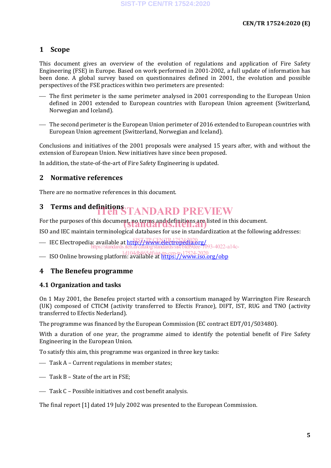#### **1 Scope**

This document gives an overview of the evolution of regulations and application of Fire Safety Engineering (FSE) in Europe. Based on work performed in 2001-2002, a full update of information has been done. A global survey based on questionnaires defined in 2001, the evolution and possible perspectives of the FSE practices within two perimeters are presented:

- The first perimeter is the same perimeter analysed in 2001 corresponding to the European Union defined in 2001 extended to European countries with European Union agreement (Switzerland, Norwegian and Iceland).
- The second perimeter is the European Union perimeter of 2016 extended to European countries with European Union agreement (Switzerland, Norwegian and Iceland).

Conclusions and initiatives of the 2001 proposals were analysed 15 years after, with and without the extension of European Union. New initiatives have since been proposed.

In addition, the state-of-the-art of Fire Safety Engineering is updated.

#### **2 Normative references**

There are no normative references in this document.

# **3** Terms and definitions<br> **THE STANDARD PREVIEW**

For the purposes of this document, no terms and definitions are listed in this document.

ISO and IEC maintain terminological databases for use in standardization at the following addresses:

- IEC Electropedia: available at https://www.electropedia.org/
- https://standards.iteh.ai/catalog/standards/sist/bfdf9dee-1093-4022-a14c-
- **ISO Online browsing platform: available at https://www.iso.org/obp**

#### **4 The Benefeu programme**

#### **4.1 Organization and tasks**

On 1 May 2001, the Benefeu project started with a consortium managed by Warrington Fire Research (UK) composed of CTICM (activity transferred to Efectis France), DIFT, IST, RUG and TNO (activity transferred to Efectis Nederland).

The programme was financed by the European Commission (EC contract EDT/01/503480).

With a duration of one year, the programme aimed to identify the potential benefit of Fire Safety Engineering in the European Union.

To satisfy this aim, this programme was organized in three key tasks:

- Task A Current regulations in member states;
- $-$  Task B State of the art in FSE:
- Task C Possible initiatives and cost benefit analysis.

The final report [1] dated 19 July 2002 was presented to the European Commission.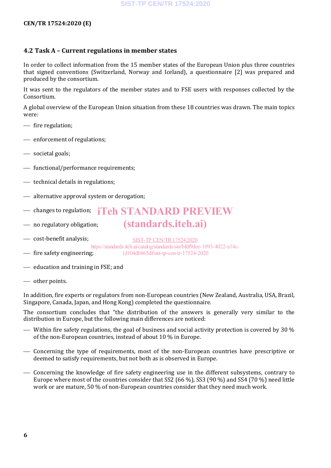#### **CEN/TR 17524:2020 (E)**

#### **4.2 Task A – Current regulations in member states**

In order to collect information from the 15 member states of the European Union plus three countries that signed conventions (Switzerland, Norway and Iceland), a questionnaire [2] was prepared and produced by the consortium.

It was sent to the regulators of the member states and to FSE users with responses collected by the Consortium.

A global overview of the European Union situation from these 18 countries was drawn. The main topics were:

- $-$  fire regulation;
- enforcement of regulations:
- societal goals;
- $f{f}$  functional/performance requirements:
- $\overline{\phantom{a}}$  technical details in regulations;
- alternative approval system or derogation;
- changes to regulation; iTeh STANDARD PREVIEW
- no regulatory obligation;

cost-benefit analysis;

 $\overline{\phantom{a}}$  fire safety engineering; SIST-TP CEN/TR17524:2020 https://standards.iteh.ai/catalog/standards/sist/bfdf9dee-1093-4022-a14c-1d104db865df/sist-tp-cen-tr-17524-2020

(standards.iteh.ai)

- education and training in FSE; and
- other points.

In addition, fire experts or regulators from non-European countries (New Zealand, Australia, USA, Brazil, Singapore, Canada, Japan, and Hong Kong) completed the questionnaire.

The consortium concludes that "the distribution of the answers is generally very similar to the distribution in Europe, but the following main differences are noticed:

- Within fire safety regulations, the goal of business and social activity protection is covered by 30  $\%$ of the non-European countries, instead of about 10 % in Europe.
- Concerning the type of requirements, most of the non-European countries have prescriptive or deemed to satisfy requirements, but not both as is observed in Europe.
- Concerning the knowledge of fire safety engineering use in the different subsystems, contrary to Europe where most of the countries consider that SS2 (66 %), SS3 (90 %) and SS4 (70 %) need little work or are mature, 50 % of non-European countries consider that they need much work.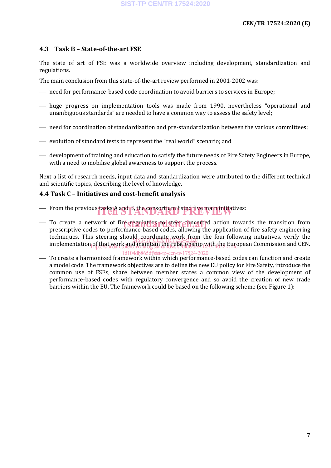#### **4.3 Task B – State-of-the-art FSE**

The state of art of FSE was a worldwide overview including development, standardization and regulations.

The main conclusion from this state-of-the-art review performed in 2001-2002 was:

- need for performance-based code coordination to avoid barriers to services in Europe;
- huge progress on implementation tools was made from 1990, nevertheless "operational and unambiguous standards" are needed to have a common way to assess the safety level;
- need for coordination of standardization and pre-standardization between the various committees;
- evolution of standard tests to represent the "real world" scenario; and
- development of training and education to satisfy the future needs of Fire Safety Engineers in Europe, with a need to mobilise global awareness to support the process.

Next a list of research needs, input data and standardization were attributed to the different technical and scientific topics, describing the level of knowledge.

#### **4.4 Task C – Initiatives and cost-benefit analysis**

- From the previous tasks A and B, the consortium listed five main initiatives:
- To create a network of fire regulators to steer concerted action towards the transition from<br>prescriptive codes to performance-based codes allowing the application of fire safety engineering prescriptive codes to performance-based codes, allowing the application of fire safety engineering techniques. This steering should coordinate work from the four following initiatives, verify the implementation of that work and maintain the relationship with the European Commission and CEN. SIST-TP CEN/TR 17524:2020 https://standards.iteh.ai/catalog/standards/sist/bfdf9dee-1093-4022-a14c-

#### 1d104db865df/sist-tp-cen-tr-17524-2020

— To create a harmonized framework within which performance-based codes can function and create a model code. The framework objectives are to define the new EU policy for Fire Safety, introduce the common use of FSEs, share between member states a common view of the development of performance-based codes with regulatory convergence and so avoid the creation of new trade barriers within the EU. The framework could be based on the following scheme (see Figure 1):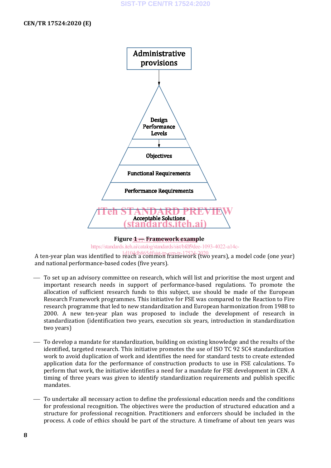**SIST-TP CEN/TR 17524:2020**

**CEN/TR 17524:2020 (E)**



#### **Figure 1 — Framework example** SIST-TP CEN/TR17524:2020

https://standards.iteh.ai/catalog/standards/sist/bfdf9dee-1093-4022-a14c-

A ten-year plan was identified to  $\frac{1d104db865df/sist-tp-cen-tr-17524-2020 years), a model code (one year)$ and national performance-based codes (five years).

- To set up an advisory committee on research, which will list and prioritise the most urgent and important research needs in support of performance-based regulations. To promote the allocation of sufficient research funds to this subject, use should be made of the European Research Framework programmes. This initiative for FSE was compared to the Reaction to Fire research programme that led to new standardization and European harmonization from 1988 to 2000. A new ten-year plan was proposed to include the development of research in standardization (identification two years, execution six years, introduction in standardization two years)
- To develop a mandate for standardization, building on existing knowledge and the results of the identified, targeted research. This initiative promotes the use of ISO TC 92 SC4 standardization work to avoid duplication of work and identifies the need for standard tests to create extended application data for the performance of construction products to use in FSE calculations. To perform that work, the initiative identifies a need for a mandate for FSE development in CEN. A timing of three years was given to identify standardization requirements and publish specific mandates.
- To undertake all necessary action to define the professional education needs and the conditions for professional recognition. The objectives were the production of structured education and a structure for professional recognition. Practitioners and enforcers should be included in the process. A code of ethics should be part of the structure. A timeframe of about ten years was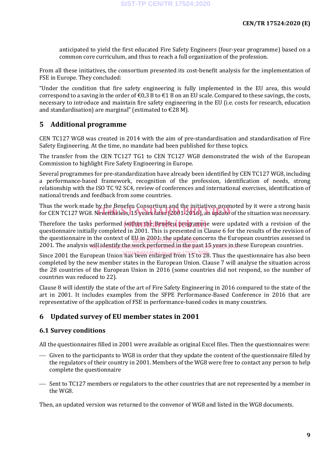anticipated to yield the first educated Fire Safety Engineers (four-year programme) based on a common core curriculum, and thus to reach a full organization of the profession.

From all these initiatives, the consortium presented its cost-benefit analysis for the implementation of FSE in Europe. They concluded:

"Under the condition that fire safety engineering is fully implemented in the EU area, this would correspond to a saving in the order of  $\epsilon 0.3$  B to  $\epsilon 1$  B on an EU scale. Compared to these savings, the costs, necessary to introduce and maintain fire safety engineering in the EU (i.e. costs for research, education and standardisation) are marginal" (estimated to  $\epsilon$ 28 M).

#### **5 Additional programme**

CEN TC127 WG8 was created in 2014 with the aim of pre-standardisation and standardisation of Fire Safety Engineering. At the time, no mandate had been published for these topics.

The transfer from the CEN TC127 TG1 to CEN TC127 WG8 demonstrated the wish of the European Commission to highlight Fire Safety Engineering in Europe.

Several programmes for pre-standardization have already been identified by CEN TC127 WG8, including a performance-based framework, recognition of the profession, identification of needs, strong relationship with the ISO TC 92 SC4, review of conferences and international exercises, identification of national trends and feedback from some countries.

Thus the work made by the Benefeu Consortium and the initiatives promoted by it were a strong basis Thus the work made by the Benefed Consortium and the initiatives promoted by it were a strong basis<br>for CEN TC127 WG8. Nevertheless, 15 years later (2001-2016), an update of the situation was necessary.

Therefore the tasks performed **within the Benefeu programm**e were updated with a revision of the **realistical** and the second the second the second the second the second the second the second the second the second the seco questionnaire initially completed in 2001. This is presented in Clause 6 for the results of the revision of the questionnaire in the context of EU in 2001, the update concerns the European countries assessed in 2001. The analysis will identify the work performed in the past  $\rm{d}$  years in these European countries.

Since 2001 the European Union has been enlarged from 13<sup>4</sup> to 28. Thus the questionnaire has also been completed by the new member states in the European Union. Clause 7 will analyse the situation across the 28 countries of the European Union in 2016 (some countries did not respond, so the number of countries was reduced to 22).

Clause 8 will identify the state of the art of Fire Safety Engineering in 2016 compared to the state of the art in 2001. It includes examples from the SFPE Performance-Based Conference in 2016 that are representative of the application of FSE in performance-based codes in many countries.

#### **6 Updated survey of EU member states in 2001**

#### **6.1 Survey conditions**

All the questionnaires filled in 2001 were available as original Excel files. Then the questionnaires were:

- Given to the participants to WG8 in order that they update the content of the questionnaire filled by the regulators of their country in 2001. Members of the WG8 were free to contact any person to help complete the questionnaire
- $\overline{\phantom{C}}$  Sent to TC127 members or regulators to the other countries that are not represented by a member in the WG8.

Then, an updated version was returned to the convenor of WG8 and listed in the WG8 documents.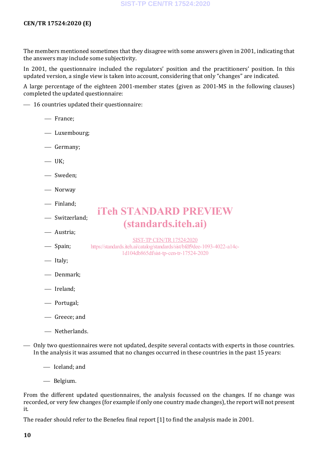#### **CEN/TR 17524:2020 (E)**

The members mentioned sometimes that they disagree with some answers given in 2001, indicating that the answers may include some subjectivity.

In 2001, the questionnaire included the regulators' position and the practitioners' position. In this updated version, a single view is taken into account, considering that only "changes" are indicated.

A large percentage of the eighteen 2001-member states (given as 2001-MS in the following clauses) completed the updated questionnaire:

iTeh STANDARD PREVIEW

(standards.iteh.ai)

SIST-TP CEN/TR17524:2020 https://standards.iteh.ai/catalog/standards/sist/bfdf9dee-1093-4022-a14c-1d104db865df/sist-tp-cen-tr-17524-2020

 $-16$  countries updated their questionnaire:

- France;
- Luxembourg;
- Germany;
- $-$  UK;
- Sweden;
- Norway
- Finland;
- Switzerland;
- Austria;
- Spain;
- Italy;
- Denmark;
- Ireland;
- Portugal;
- Greece; and
- Netherlands.

 Only two questionnaires were not updated, despite several contacts with experts in those countries. In the analysis it was assumed that no changes occurred in these countries in the past 15 years:

- Iceland; and

Belgium.

From the different updated questionnaires, the analysis focussed on the changes. If no change was recorded, or very few changes (for example if only one country made changes), the report will not present it.

The reader should refer to the Benefeu final report [1] to find the analysis made in 2001.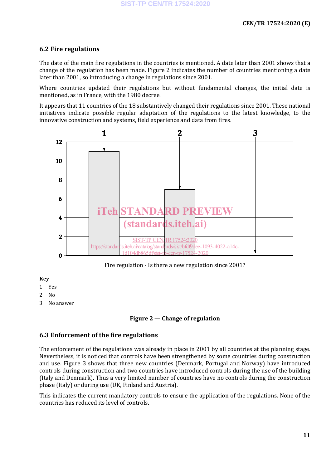#### **6.2 Fire regulations**

The date of the main fire regulations in the countries is mentioned. A date later than 2001 shows that a change of the regulation has been made. Figure 2 indicates the number of countries mentioning a date later than 2001, so introducing a change in regulations since 2001.

Where countries updated their regulations but without fundamental changes, the initial date is mentioned, as in France, with the 1980 decree.

It appears that 11 countries of the 18 substantively changed their regulations since 2001. These national initiatives indicate possible regular adaptation of the regulations to the latest knowledge, to the innovative construction and systems, field experience and data from fires.



Fire regulation - Is there a new regulation since 2001?

#### **Key**

- 1 Yes
- 2 No
- 3 No answer

#### **Figure 2 — Change of regulation**

#### **6.3 Enforcement of the fire regulations**

The enforcement of the regulations was already in place in 2001 by all countries at the planning stage. Nevertheless, it is noticed that controls have been strengthened by some countries during construction and use. Figure 3 shows that three new countries (Denmark, Portugal and Norway) have introduced controls during construction and two countries have introduced controls during the use of the building (Italy and Denmark). Thus a very limited number of countries have no controls during the construction phase (Italy) or during use (UK, Finland and Austria).

This indicates the current mandatory controls to ensure the application of the regulations. None of the countries has reduced its level of controls.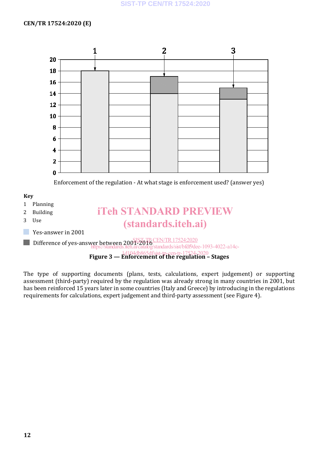

Enforcement of the regulation - At what stage is enforcement used? (answer yes)



The type of supporting documents (plans, tests, calculations, expert judgement) or supporting assessment (third-party) required by the regulation was already strong in many countries in 2001, but has been reinforced 15 years later in some countries (Italy and Greece) by introducing in the regulations requirements for calculations, expert judgement and third-party assessment (see Figure 4).